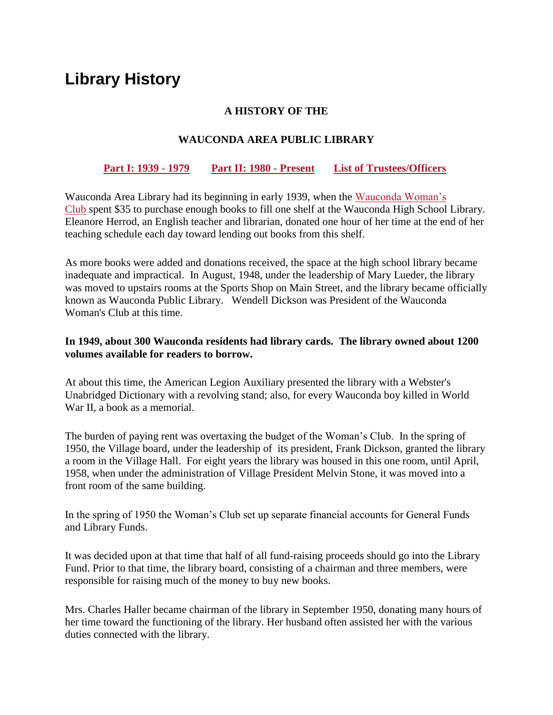# **Library History**

#### **A HISTORY OF THE**

## **WAUCONDA AREA PUBLIC LIBRARY**

#### **[Part I: 1939 -](https://www.wauclib.org/about/library-history#Part1) 1979 [Part II: 1980 -](https://www.wauclib.org/about/library-history#Part2) Present [List of Trustees/Officers](https://www.wauclib.org/content/library-trustees-1989-2014)**

Wauconda Area Library had its beginning in early 1939, when the [Wauconda Woman's](https://wauconda.gfwcillinois.org/)  [Club](https://wauconda.gfwcillinois.org/) spent \$35 to purchase enough books to fill one shelf at the Wauconda High School Library. Eleanore Herrod, an English teacher and librarian, donated one hour of her time at the end of her teaching schedule each day toward lending out books from this shelf.

As more books were added and donations received, the space at the high school library became inadequate and impractical. In August, 1948, under the leadership of Mary Lueder, the library was moved to upstairs rooms at the Sports Shop on Main Street, and the library became officially known as Wauconda Public Library. Wendell Dickson was President of the Wauconda Woman's Club at this time.

#### **In 1949, about 300 Wauconda residents had library cards. The library owned about 1200 volumes available for readers to borrow.**

At about this time, the American Legion Auxiliary presented the library with a Webster's Unabridged Dictionary with a revolving stand; also, for every Wauconda boy killed in World War II, a book as a memorial.

The burden of paying rent was overtaxing the budget of the Woman's Club. In the spring of 1950, the Village board, under the leadership of its president, Frank Dickson, granted the library a room in the Village Hall. For eight years the library was housed in this one room, until April, 1958, when under the administration of Village President Melvin Stone, it was moved into a front room of the same building.

In the spring of 1950 the Woman's Club set up separate financial accounts for General Funds and Library Funds.

It was decided upon at that time that half of all fund-raising proceeds should go into the Library Fund. Prior to that time, the library board, consisting of a chairman and three members, were responsible for raising much of the money to buy new books.

Mrs. Charles Haller became chairman of the library in September 1950, donating many hours of her time toward the functioning of the library. Her husband often assisted her with the various duties connected with the library.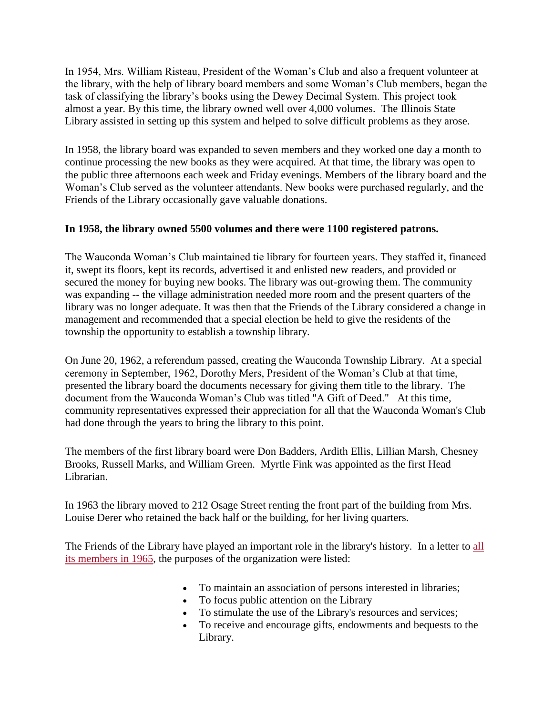In 1954, Mrs. William Risteau, President of the Woman's Club and also a frequent volunteer at the library, with the help of library board members and some Woman's Club members, began the task of classifying the library's books using the Dewey Decimal System. This project took almost a year. By this time, the library owned well over 4,000 volumes. The Illinois State Library assisted in setting up this system and helped to solve difficult problems as they arose.

In 1958, the library board was expanded to seven members and they worked one day a month to continue processing the new books as they were acquired. At that time, the library was open to the public three afternoons each week and Friday evenings. Members of the library board and the Woman's Club served as the volunteer attendants. New books were purchased regularly, and the Friends of the Library occasionally gave valuable donations.

# **In 1958, the library owned 5500 volumes and there were 1100 registered patrons.**

The Wauconda Woman's Club maintained tie library for fourteen years. They staffed it, financed it, swept its floors, kept its records, advertised it and enlisted new readers, and provided or secured the money for buying new books. The library was out-growing them. The community was expanding -- the village administration needed more room and the present quarters of the library was no longer adequate. It was then that the Friends of the Library considered a change in management and recommended that a special election be held to give the residents of the township the opportunity to establish a township library.

On June 20, 1962, a referendum passed, creating the Wauconda Township Library. At a special ceremony in September, 1962, Dorothy Mers, President of the Woman's Club at that time, presented the library board the documents necessary for giving them title to the library. The document from the Wauconda Woman's Club was titled "A Gift of Deed." At this time, community representatives expressed their appreciation for all that the Wauconda Woman's Club had done through the years to bring the library to this point.

The members of the first library board were Don Badders, Ardith Ellis, Lillian Marsh, Chesney Brooks, Russell Marks, and William Green. Myrtle Fink was appointed as the first Head Librarian.

In 1963 the library moved to 212 Osage Street renting the front part of the building from Mrs. Louise Derer who retained the back half or the building, for her living quarters.

The Friends of the Library have played an important role in the library's history. In a letter to [all](https://www.wauclib.org/sites/default/files/hero_images/Friends-1964-1965-s.jpg)  [its members in 1965,](https://www.wauclib.org/sites/default/files/hero_images/Friends-1964-1965-s.jpg) the purposes of the organization were listed:

- To maintain an association of persons interested in libraries;
- To focus public attention on the Library
- To stimulate the use of the Library's resources and services;
- To receive and encourage gifts, endowments and bequests to the Library.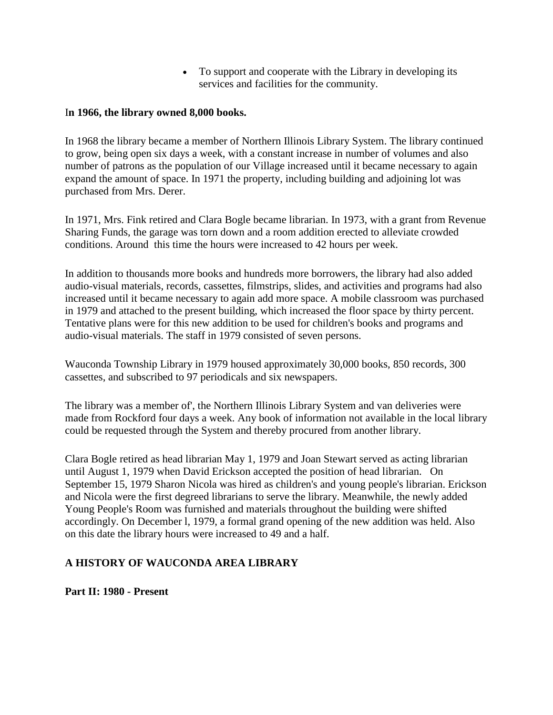To support and cooperate with the Library in developing its services and facilities for the community.

#### I**n 1966, the library owned 8,000 books.**

In 1968 the library became a member of Northern Illinois Library System. The library continued to grow, being open six days a week, with a constant increase in number of volumes and also number of patrons as the population of our Village increased until it became necessary to again expand the amount of space. In 1971 the property, including building and adjoining lot was purchased from Mrs. Derer.

In 1971, Mrs. Fink retired and Clara Bogle became librarian. In 1973, with a grant from Revenue Sharing Funds, the garage was torn down and a room addition erected to alleviate crowded conditions. Around this time the hours were increased to 42 hours per week.

In addition to thousands more books and hundreds more borrowers, the library had also added audio-visual materials, records, cassettes, filmstrips, slides, and activities and programs had also increased until it became necessary to again add more space. A mobile classroom was purchased in 1979 and attached to the present building, which increased the floor space by thirty percent. Tentative plans were for this new addition to be used for children's books and programs and audio-visual materials. The staff in 1979 consisted of seven persons.

Wauconda Township Library in 1979 housed approximately 30,000 books, 850 records, 300 cassettes, and subscribed to 97 periodicals and six newspapers.

The library was a member of', the Northern Illinois Library System and van deliveries were made from Rockford four days a week. Any book of information not available in the local library could be requested through the System and thereby procured from another library.

Clara Bogle retired as head librarian May 1, 1979 and Joan Stewart served as acting librarian until August 1, 1979 when David Erickson accepted the position of head librarian. On September 15, 1979 Sharon Nicola was hired as children's and young people's librarian. Erickson and Nicola were the first degreed librarians to serve the library. Meanwhile, the newly added Young People's Room was furnished and materials throughout the building were shifted accordingly. On December l, 1979, a formal grand opening of the new addition was held. Also on this date the library hours were increased to 49 and a half.

# **A HISTORY OF WAUCONDA AREA LIBRARY**

**Part II: 1980 - Present**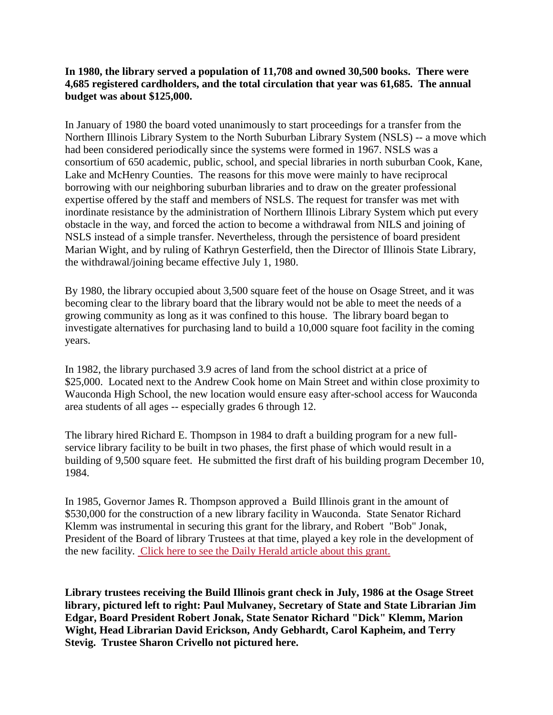### **In 1980, the library served a population of 11,708 and owned 30,500 books. There were 4,685 registered cardholders, and the total circulation that year was 61,685. The annual budget was about \$125,000.**

In January of 1980 the board voted unanimously to start proceedings for a transfer from the Northern Illinois Library System to the North Suburban Library System (NSLS) -- a move which had been considered periodically since the systems were formed in 1967. NSLS was a consortium of 650 academic, public, school, and special libraries in north suburban Cook, Kane, Lake and McHenry Counties. The reasons for this move were mainly to have reciprocal borrowing with our neighboring suburban libraries and to draw on the greater professional expertise offered by the staff and members of NSLS. The request for transfer was met with inordinate resistance by the administration of Northern Illinois Library System which put every obstacle in the way, and forced the action to become a withdrawal from NILS and joining of NSLS instead of a simple transfer. Nevertheless, through the persistence of board president Marian Wight, and by ruling of Kathryn Gesterfield, then the Director of Illinois State Library, the withdrawal/joining became effective July 1, 1980.

By 1980, the library occupied about 3,500 square feet of the house on Osage Street, and it was becoming clear to the library board that the library would not be able to meet the needs of a growing community as long as it was confined to this house. The library board began to investigate alternatives for purchasing land to build a 10,000 square foot facility in the coming years.

In 1982, the library purchased 3.9 acres of land from the school district at a price of \$25,000. Located next to the Andrew Cook home on Main Street and within close proximity to Wauconda High School, the new location would ensure easy after-school access for Wauconda area students of all ages -- especially grades 6 through 12.

The library hired Richard E. Thompson in 1984 to draft a building program for a new fullservice library facility to be built in two phases, the first phase of which would result in a building of 9,500 square feet. He submitted the first draft of his building program December 10, 1984.

In 1985, Governor James R. Thompson approved a Build Illinois grant in the amount of \$530,000 for the construction of a new library facility in Wauconda. State Senator Richard Klemm was instrumental in securing this grant for the library, and Robert "Bob" Jonak, President of the Board of library Trustees at that time, played a key role in the development of the new facility. [Click here to see the Daily Herald article about this grant.](https://www.wauclib.org/sites/default/files/hero_images/Daily%20Herald%20-%201986-07-24%20-%20Library%20grant%20penciled%20in%20by%20angel%20-%20Dick%20Klemm.pdf)

**Library trustees receiving the Build Illinois grant check in July, 1986 at the Osage Street library, pictured left to right: Paul Mulvaney, Secretary of State and State Librarian Jim Edgar, Board President Robert Jonak, State Senator Richard "Dick" Klemm, Marion Wight, Head Librarian David Erickson, Andy Gebhardt, Carol Kapheim, and Terry Stevig. Trustee Sharon Crivello not pictured here.**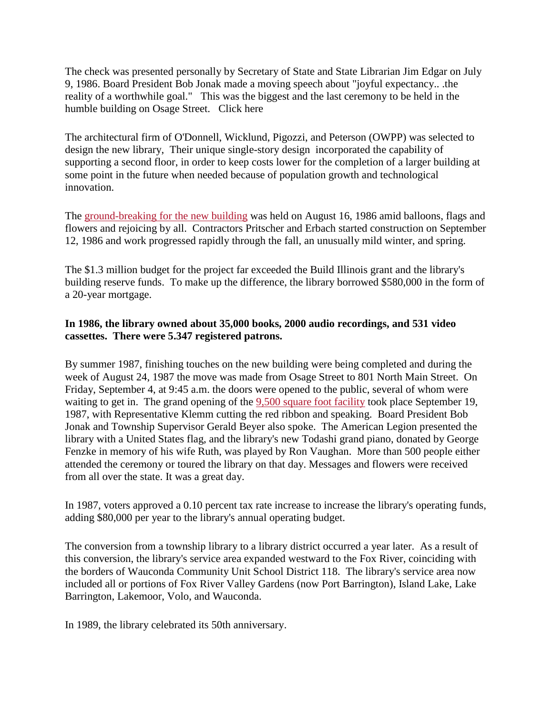The check was presented personally by Secretary of State and State Librarian Jim Edgar on July 9, 1986. Board President Bob Jonak made a moving speech about "joyful expectancy.. .the reality of a worthwhile goal." This was the biggest and the last ceremony to be held in the humble building on Osage Street. Click here

The architectural firm of O'Donnell, Wicklund, Pigozzi, and Peterson (OWPP) was selected to design the new library, Their unique single-story design incorporated the capability of supporting a second floor, in order to keep costs lower for the completion of a larger building at some point in the future when needed because of population growth and technological innovation.

The [ground-breaking for the new building](https://www.wauclib.org/sites/default/files/hero_images/Ground-Breaking-August%2016%2C%201986-tagged.jpg) was held on August 16, 1986 amid balloons, flags and flowers and rejoicing by all. Contractors Pritscher and Erbach started construction on September 12, 1986 and work progressed rapidly through the fall, an unusually mild winter, and spring.

The \$1.3 million budget for the project far exceeded the Build Illinois grant and the library's building reserve funds. To make up the difference, the library borrowed \$580,000 in the form of a 20-year mortgage.

# **In 1986, the library owned about 35,000 books, 2000 audio recordings, and 531 video cassettes. There were 5.347 registered patrons.**

By summer 1987, finishing touches on the new building were being completed and during the week of August 24, 1987 the move was made from Osage Street to 801 North Main Street. On Friday, September 4, at 9:45 a.m. the doors were opened to the public, several of whom were waiting to get in. The grand opening of the [9,500 square foot facility](https://www.wauclib.org/sites/default/files/hero_images/1987-First%20Building%20-%20Phase%20I%20-%20no%20margin%20-%20a.jpg) took place September 19, 1987, with Representative Klemm cutting the red ribbon and speaking. Board President Bob Jonak and Township Supervisor Gerald Beyer also spoke. The American Legion presented the library with a United States flag, and the library's new Todashi grand piano, donated by George Fenzke in memory of his wife Ruth, was played by Ron Vaughan. More than 500 people either attended the ceremony or toured the library on that day. Messages and flowers were received from all over the state. It was a great day.

In 1987, voters approved a 0.10 percent tax rate increase to increase the library's operating funds, adding \$80,000 per year to the library's annual operating budget.

The conversion from a township library to a library district occurred a year later. As a result of this conversion, the library's service area expanded westward to the Fox River, coinciding with the borders of Wauconda Community Unit School District 118. The library's service area now included all or portions of Fox River Valley Gardens (now Port Barrington), Island Lake, Lake Barrington, Lakemoor, Volo, and Wauconda.

In 1989, the library celebrated its 50th anniversary.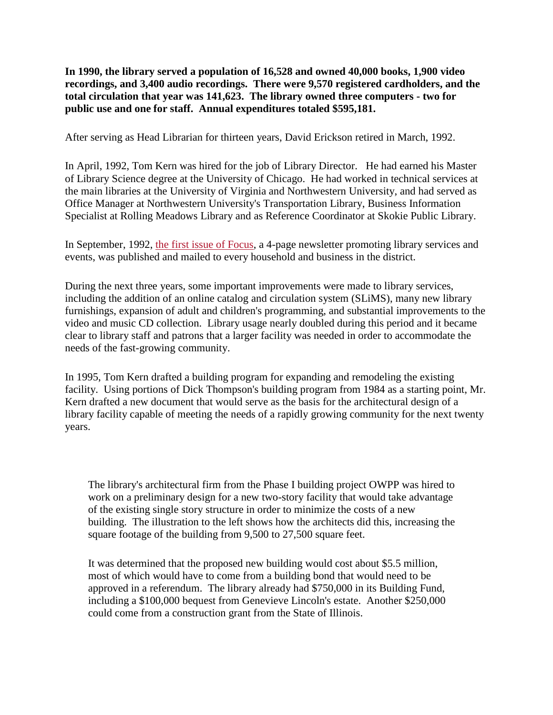**In 1990, the library served a population of 16,528 and owned 40,000 books, 1,900 video recordings, and 3,400 audio recordings. There were 9,570 registered cardholders, and the total circulation that year was 141,623. The library owned three computers - two for public use and one for staff. Annual expenditures totaled \$595,181.**

After serving as Head Librarian for thirteen years, David Erickson retired in March, 1992.

In April, 1992, Tom Kern was hired for the job of Library Director. He had earned his Master of Library Science degree at the University of Chicago. He had worked in technical services at the main libraries at the University of Virginia and Northwestern University, and had served as Office Manager at Northwestern University's Transportation Library, Business Information Specialist at Rolling Meadows Library and as Reference Coordinator at Skokie Public Library.

In September, 1992, [the first issue of Focus,](https://www.wauclib.org/sites/default/files/hero_images/Focus-1992-Fall.pdf) a 4-page newsletter promoting library services and events, was published and mailed to every household and business in the district.

During the next three years, some important improvements were made to library services, including the addition of an online catalog and circulation system (SLiMS), many new library furnishings, expansion of adult and children's programming, and substantial improvements to the video and music CD collection. Library usage nearly doubled during this period and it became clear to library staff and patrons that a larger facility was needed in order to accommodate the needs of the fast-growing community.

In 1995, Tom Kern drafted a building program for expanding and remodeling the existing facility. Using portions of Dick Thompson's building program from 1984 as a starting point, Mr. Kern drafted a new document that would serve as the basis for the architectural design of a library facility capable of meeting the needs of a rapidly growing community for the next twenty years.

The library's architectural firm from the Phase I building project OWPP was hired to work on a preliminary design for a new two-story facility that would take advantage of the existing single story structure in order to minimize the costs of a new building. The illustration to the left shows how the architects did this, increasing the square footage of the building from 9,500 to 27,500 square feet.

It was determined that the proposed new building would cost about \$5.5 million, most of which would have to come from a building bond that would need to be approved in a referendum. The library already had \$750,000 in its Building Fund, including a \$100,000 bequest from Genevieve Lincoln's estate. Another \$250,000 could come from a construction grant from the State of Illinois.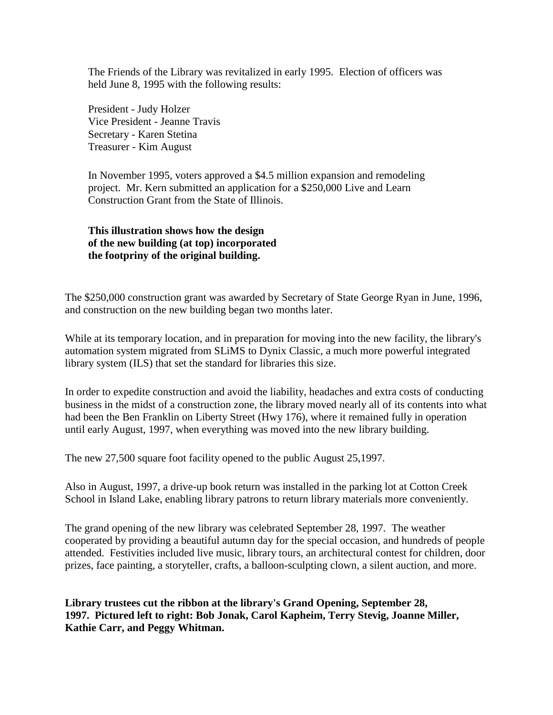The Friends of the Library was revitalized in early 1995. Election of officers was held June 8, 1995 with the following results:

President - Judy Holzer Vice President - Jeanne Travis Secretary - Karen Stetina Treasurer - Kim August

In November 1995, voters approved a \$4.5 million expansion and remodeling project. Mr. Kern submitted an application for a \$250,000 Live and Learn Construction Grant from the State of Illinois.

### **This illustration shows how the design of the new building (at top) incorporated the footpriny of the original building.**

The \$250,000 construction grant was awarded by Secretary of State George Ryan in June, 1996, and construction on the new building began two months later.

While at its temporary location, and in preparation for moving into the new facility, the library's automation system migrated from SLiMS to Dynix Classic, a much more powerful integrated library system (ILS) that set the standard for libraries this size.

In order to expedite construction and avoid the liability, headaches and extra costs of conducting business in the midst of a construction zone, the library moved nearly all of its contents into what had been the Ben Franklin on Liberty Street (Hwy 176), where it remained fully in operation until early August, 1997, when everything was moved into the new library building.

The new 27,500 square foot facility opened to the public August 25,1997.

Also in August, 1997, a drive-up book return was installed in the parking lot at Cotton Creek School in Island Lake, enabling library patrons to return library materials more conveniently.

The grand opening of the new library was celebrated September 28, 1997. The weather cooperated by providing a beautiful autumn day for the special occasion, and hundreds of people attended. Festivities included live music, library tours, an architectural contest for children, door prizes, face painting, a storyteller, crafts, a balloon-sculpting clown, a silent auction, and more.

**Library trustees cut the ribbon at the library's Grand Opening, September 28, 1997. Pictured left to right: Bob Jonak, Carol Kapheim, Terry Stevig, Joanne Miller, Kathie Carr, and Peggy Whitman.**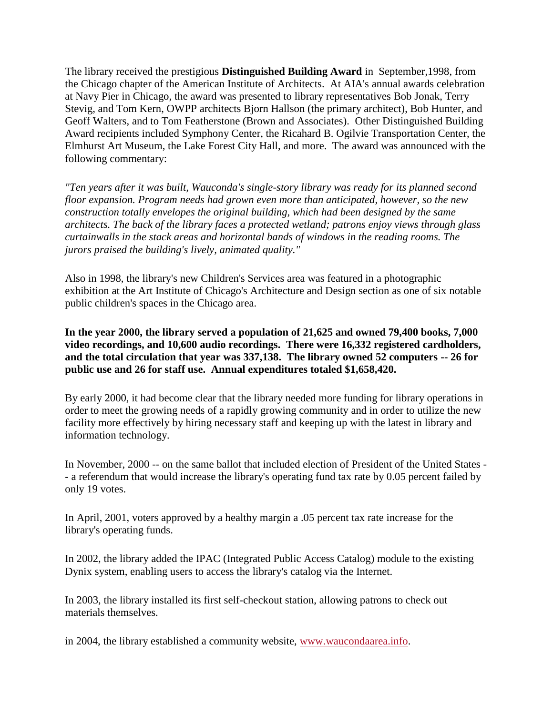The library received the prestigious **Distinguished Building Award** in September,1998, from the Chicago chapter of the American Institute of Architects. At AIA's annual awards celebration at Navy Pier in Chicago, the award was presented to library representatives Bob Jonak, Terry Stevig, and Tom Kern, OWPP architects Bjorn Hallson (the primary architect), Bob Hunter, and Geoff Walters, and to Tom Featherstone (Brown and Associates). Other Distinguished Building Award recipients included Symphony Center, the Ricahard B. Ogilvie Transportation Center, the Elmhurst Art Museum, the Lake Forest City Hall, and more. The award was announced with the following commentary:

*"Ten years after it was built, Wauconda's single-story library was ready for its planned second floor expansion. Program needs had grown even more than anticipated, however, so the new construction totally envelopes the original building, which had been designed by the same architects. The back of the library faces a protected wetland; patrons enjoy views through glass curtainwalls in the stack areas and horizontal bands of windows in the reading rooms. The jurors praised the building's lively, animated quality."*

Also in 1998, the library's new Children's Services area was featured in a photographic exhibition at the Art Institute of Chicago's Architecture and Design section as one of six notable public children's spaces in the Chicago area.

**In the year 2000, the library served a population of 21,625 and owned 79,400 books, 7,000 video recordings, and 10,600 audio recordings. There were 16,332 registered cardholders, and the total circulation that year was 337,138. The library owned 52 computers -- 26 for public use and 26 for staff use. Annual expenditures totaled \$1,658,420.**

By early 2000, it had become clear that the library needed more funding for library operations in order to meet the growing needs of a rapidly growing community and in order to utilize the new facility more effectively by hiring necessary staff and keeping up with the latest in library and information technology.

In November, 2000 -- on the same ballot that included election of President of the United States - - a referendum that would increase the library's operating fund tax rate by 0.05 percent failed by only 19 votes.

In April, 2001, voters approved by a healthy margin a .05 percent tax rate increase for the library's operating funds.

In 2002, the library added the IPAC (Integrated Public Access Catalog) module to the existing Dynix system, enabling users to access the library's catalog via the Internet.

In 2003, the library installed its first self-checkout station, allowing patrons to check out materials themselves.

in 2004, the library established a community website, [www.waucondaarea.info.](https://www.waucondaarea.info/)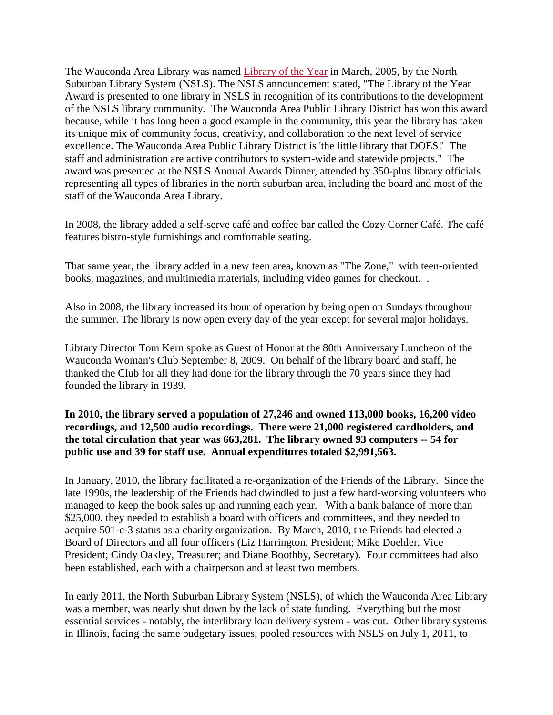The Wauconda Area Library was named [Library of the Year](https://www.wauclib.org/library-year) in March, 2005, by the North Suburban Library System (NSLS). The NSLS announcement stated, "The Library of the Year Award is presented to one library in NSLS in recognition of its contributions to the development of the NSLS library community. The Wauconda Area Public Library District has won this award because, while it has long been a good example in the community, this year the library has taken its unique mix of community focus, creativity, and collaboration to the next level of service excellence. The Wauconda Area Public Library District is 'the little library that DOES!' The staff and administration are active contributors to system-wide and statewide projects." The award was presented at the NSLS Annual Awards Dinner, attended by 350-plus library officials representing all types of libraries in the north suburban area, including the board and most of the staff of the Wauconda Area Library.

In 2008, the library added a self-serve café and coffee bar called the Cozy Corner Café. The café features bistro-style furnishings and comfortable seating.

That same year, the library added in a new teen area, known as "The Zone," with teen-oriented books, magazines, and multimedia materials, including video games for checkout. .

Also in 2008, the library increased its hour of operation by being open on Sundays throughout the summer. The library is now open every day of the year except for several major holidays.

Library Director Tom Kern spoke as Guest of Honor at the 80th Anniversary Luncheon of the Wauconda Woman's Club September 8, 2009. On behalf of the library board and staff, he thanked the Club for all they had done for the library through the 70 years since they had founded the library in 1939.

# **In 2010, the library served a population of 27,246 and owned 113,000 books, 16,200 video recordings, and 12,500 audio recordings. There were 21,000 registered cardholders, and the total circulation that year was 663,281. The library owned 93 computers -- 54 for public use and 39 for staff use. Annual expenditures totaled \$2,991,563.**

In January, 2010, the library facilitated a re-organization of the Friends of the Library. Since the late 1990s, the leadership of the Friends had dwindled to just a few hard-working volunteers who managed to keep the book sales up and running each year. With a bank balance of more than \$25,000, they needed to establish a board with officers and committees, and they needed to acquire 501-c-3 status as a charity organization. By March, 2010, the Friends had elected a Board of Directors and all four officers (Liz Harrington, President; Mike Doehler, Vice President; Cindy Oakley, Treasurer; and Diane Boothby, Secretary). Four committees had also been established, each with a chairperson and at least two members.

In early 2011, the North Suburban Library System (NSLS), of which the Wauconda Area Library was a member, was nearly shut down by the lack of state funding. Everything but the most essential services - notably, the interlibrary loan delivery system - was cut. Other library systems in Illinois, facing the same budgetary issues, pooled resources with NSLS on July 1, 2011, to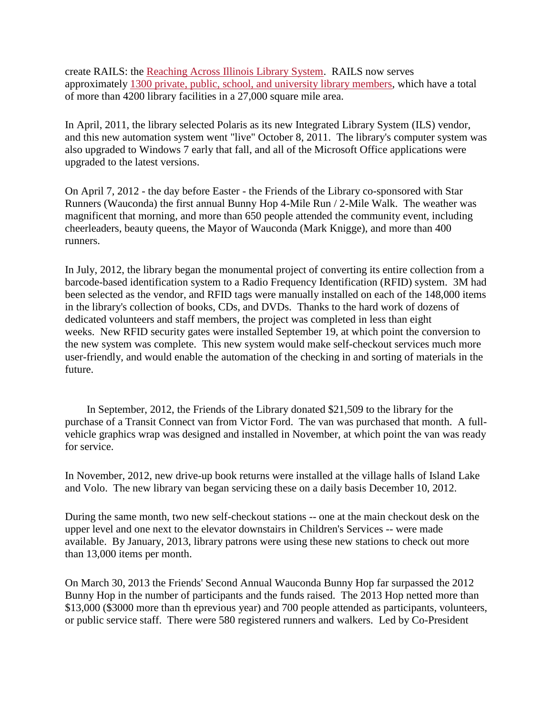create RAILS: the [Reaching Across Illinois Library System.](https://www.railslibraries.info/about/rails) RAILS now serves approximately [1300 private, public, school, and university library members,](https://www.railslibraries.info/membership/member-directory) which have a total of more than 4200 library facilities in a 27,000 square mile area.

In April, 2011, the library selected Polaris as its new Integrated Library System (ILS) vendor, and this new automation system went "live" October 8, 2011. The library's computer system was also upgraded to Windows 7 early that fall, and all of the Microsoft Office applications were upgraded to the latest versions.

On April 7, 2012 - the day before Easter - the Friends of the Library co-sponsored with Star Runners (Wauconda) the first annual Bunny Hop 4-Mile Run / 2-Mile Walk. The weather was magnificent that morning, and more than 650 people attended the community event, including cheerleaders, beauty queens, the Mayor of Wauconda (Mark Knigge), and more than 400 runners.

In July, 2012, the library began the monumental project of converting its entire collection from a barcode-based identification system to a Radio Frequency Identification (RFID) system. 3M had been selected as the vendor, and RFID tags were manually installed on each of the 148,000 items in the library's collection of books, CDs, and DVDs. Thanks to the hard work of dozens of dedicated volunteers and staff members, the project was completed in less than eight weeks. New RFID security gates were installed September 19, at which point the conversion to the new system was complete. This new system would make self-checkout services much more user-friendly, and would enable the automation of the checking in and sorting of materials in the future.

In September, 2012, the Friends of the Library donated \$21,509 to the library for the purchase of a Transit Connect van from Victor Ford. The van was purchased that month. A fullvehicle graphics wrap was designed and installed in November, at which point the van was ready for service.

In November, 2012, new drive-up book returns were installed at the village halls of Island Lake and Volo. The new library van began servicing these on a daily basis December 10, 2012.

During the same month, two new self-checkout stations -- one at the main checkout desk on the upper level and one next to the elevator downstairs in Children's Services -- were made available. By January, 2013, library patrons were using these new stations to check out more than 13,000 items per month.

On March 30, 2013 the Friends' Second Annual Wauconda Bunny Hop far surpassed the 2012 Bunny Hop in the number of participants and the funds raised. The 2013 Hop netted more than \$13,000 (\$3000 more than th eprevious year) and 700 people attended as participants, volunteers, or public service staff. There were 580 registered runners and walkers. Led by Co-President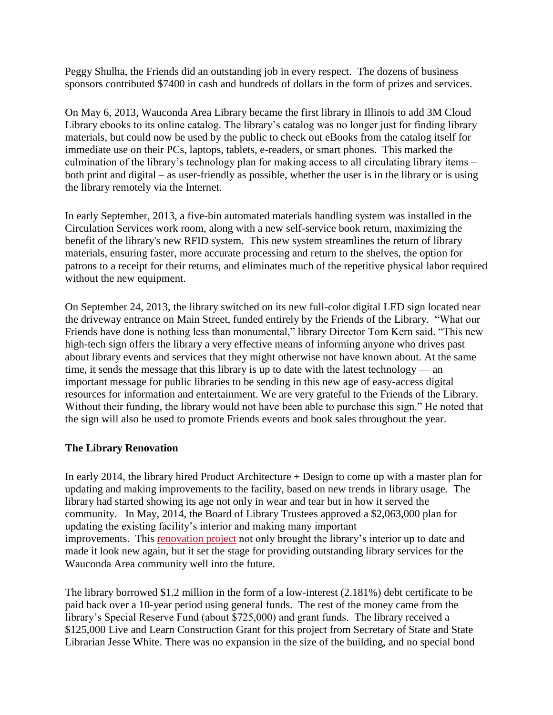Peggy Shulha, the Friends did an outstanding job in every respect. The dozens of business sponsors contributed \$7400 in cash and hundreds of dollars in the form of prizes and services.

On May 6, 2013, Wauconda Area Library became the first library in Illinois to add 3M Cloud Library ebooks to its online catalog. The library's catalog was no longer just for finding library materials, but could now be used by the public to check out eBooks from the catalog itself for immediate use on their PCs, laptops, tablets, e-readers, or smart phones. This marked the culmination of the library's technology plan for making access to all circulating library items – both print and digital – as user-friendly as possible, whether the user is in the library or is using the library remotely via the Internet.

In early September, 2013, a five-bin automated materials handling system was installed in the Circulation Services work room, along with a new self-service book return, maximizing the benefit of the library's new RFID system. This new system streamlines the return of library materials, ensuring faster, more accurate processing and return to the shelves, the option for patrons to a receipt for their returns, and eliminates much of the repetitive physical labor required without the new equipment.

On September 24, 2013, the library switched on its new full-color digital LED sign located near the driveway entrance on Main Street, funded entirely by the Friends of the Library. "What our Friends have done is nothing less than monumental," library Director Tom Kern said. "This new high-tech sign offers the library a very effective means of informing anyone who drives past about library events and services that they might otherwise not have known about. At the same time, it sends the message that this library is up to date with the latest technology — an important message for public libraries to be sending in this new age of easy-access digital resources for information and entertainment. We are very grateful to the Friends of the Library. Without their funding, the library would not have been able to purchase this sign." He noted that the sign will also be used to promote Friends events and book sales throughout the year.

# **The Library Renovation**

In early 2014, the library hired Product Architecture + Design to come up with a master plan for updating and making improvements to the facility, based on new trends in library usage. The library had started showing its age not only in wear and tear but in how it served the community. In May, 2014, the Board of Library Trustees approved a \$2,063,000 plan for updating the existing facility's interior and making many important improvements. This [renovation project](https://www.wauclib.org/sites/default/files/hero_images/Renovation.pdf) not only brought the library's interior up to date and made it look new again, but it set the stage for providing outstanding library services for the Wauconda Area community well into the future.

The library borrowed \$1.2 million in the form of a low-interest (2.181%) debt certificate to be paid back over a 10-year period using general funds. The rest of the money came from the library's Special Reserve Fund (about \$725,000) and grant funds. The library received a \$125,000 Live and Learn Construction Grant for this project from Secretary of State and State Librarian Jesse White. There was no expansion in the size of the building, and no special bond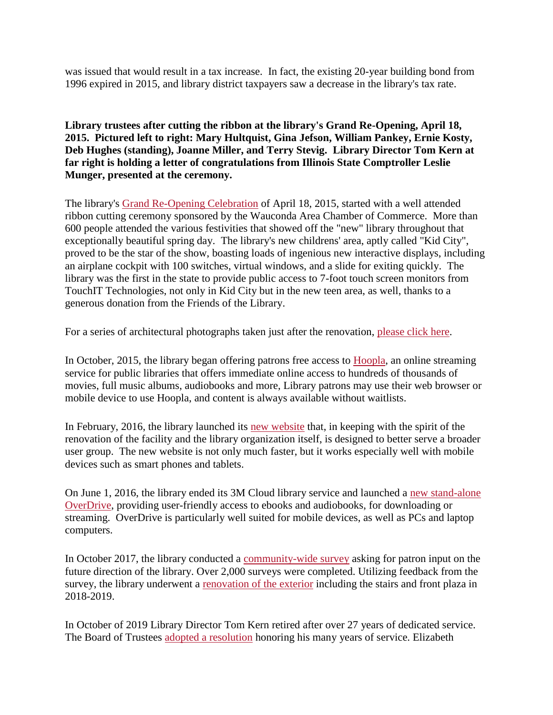was issued that would result in a tax increase. In fact, the existing 20-year building bond from 1996 expired in 2015, and library district taxpayers saw a decrease in the library's tax rate.

# **Library trustees after cutting the ribbon at the library's Grand Re-Opening, April 18, 2015. Pictured left to right: Mary Hultquist, Gina Jefson, William Pankey, Ernie Kosty, Deb Hughes (standing), Joanne Miller, and Terry Stevig. Library Director Tom Kern at far right is holding a letter of congratulations from Illinois State Comptroller Leslie Munger, presented at the ceremony.**

The library's [Grand Re-Opening Celebration](https://www.wauclib.org/sites/default/files/grand-opening-ribbon-2015.JPG) of April 18, 2015, started with a well attended ribbon cutting ceremony sponsored by the Wauconda Area Chamber of Commerce. More than 600 people attended the various festivities that showed off the "new" library throughout that exceptionally beautiful spring day. The library's new childrens' area, aptly called "Kid City", proved to be the star of the show, boasting loads of ingenious new interactive displays, including an airplane cockpit with 100 switches, virtual windows, and a slide for exiting quickly. The library was the first in the state to provide public access to 7-foot touch screen monitors from TouchIT Technologies, not only in Kid City but in the new teen area, as well, thanks to a generous donation from the Friends of the Library.

For a series of architectural photographs taken just after the renovation, [please click here.](https://www.flickr.com/photos/wauclib/albums/72157668056180630)

In October, 2015, the library began offering patrons free access to [Hoopla,](https://www.hoopladigital.com/) an online streaming service for public libraries that offers immediate online access to hundreds of thousands of movies, full music albums, audiobooks and more, Library patrons may use their web browser or mobile device to use Hoopla, and content is always available without waitlists.

In February, 2016, the library launched its [new website](https://www.wauclib.org/) that, in keeping with the spirit of the renovation of the facility and the library organization itself, is designed to better serve a broader user group. The new website is not only much faster, but it works especially well with mobile devices such as smart phones and tablets.

On June 1, 2016, the library ended its 3M Cloud library service and launched a [new stand-alone](https://www.wauclib.org/overdrive)  [OverDrive,](https://www.wauclib.org/overdrive) providing user-friendly access to ebooks and audiobooks, for downloading or streaming. OverDrive is particularly well suited for mobile devices, as well as PCs and laptop computers.

In October 2017, the library conducted a [community-wide survey](https://www.wauclib.org/about-us/wauconda-area-library-community-survey) asking for patron input on the future direction of the library. Over 2,000 surveys were completed. Utilizing feedback from the survey, the library underwent a [renovation of the exterior](https://www.wauclib.org/about-us/outdoor-renovation-project-now-finished) including the stairs and front plaza in 2018-2019.

In October of 2019 Library Director Tom Kern retired after over 27 years of dedicated service. The Board of Trustees [adopted a resolution](https://www.wauclib.org/sites/default/files/Resolution-07-Tom%20Kern-WEBSITE_1.pdf) honoring his many years of service. Elizabeth